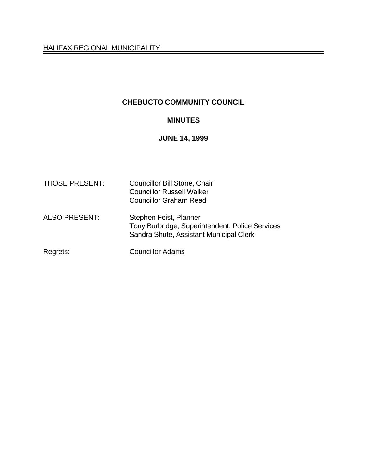# **CHEBUCTO COMMUNITY COUNCIL**

# **MINUTES**

#### **JUNE 14, 1999**

| <b>THOSE PRESENT:</b> | <b>Councillor Bill Stone, Chair</b><br><b>Councillor Russell Walker</b><br><b>Councillor Graham Read</b>             |
|-----------------------|----------------------------------------------------------------------------------------------------------------------|
| <b>ALSO PRESENT:</b>  | Stephen Feist, Planner<br>Tony Burbridge, Superintendent, Police Services<br>Sandra Shute, Assistant Municipal Clerk |
| Regrets:              | <b>Councillor Adams</b>                                                                                              |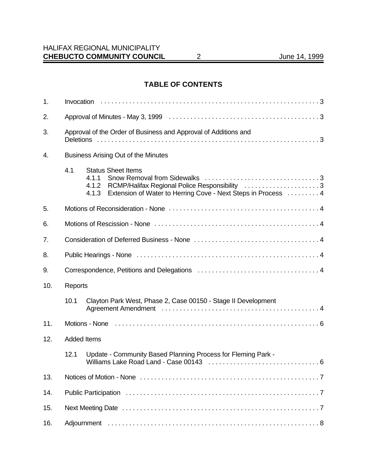# **TABLE OF CONTENTS**

| 1.  |                                                                                                                                                                                          |  |
|-----|------------------------------------------------------------------------------------------------------------------------------------------------------------------------------------------|--|
| 2.  |                                                                                                                                                                                          |  |
| 3.  | Approval of the Order of Business and Approval of Additions and                                                                                                                          |  |
| 4.  | Business Arising Out of the Minutes                                                                                                                                                      |  |
|     | 4.1<br><b>Status Sheet Items</b><br>4.1.1<br>4.1.2 RCMP/Halifax Regional Police Responsibility 3<br>Extension of Water to Herring Cove - Next Steps in Process  4<br>4.1.3               |  |
| 5.  |                                                                                                                                                                                          |  |
| 6.  |                                                                                                                                                                                          |  |
| 7.  |                                                                                                                                                                                          |  |
| 8.  |                                                                                                                                                                                          |  |
| 9.  |                                                                                                                                                                                          |  |
| 10. | Reports                                                                                                                                                                                  |  |
|     | 10.1<br>Clayton Park West, Phase 2, Case 00150 - Stage II Development<br>Agreement Amendment (and according to the contract of the Agreement Amendment (and according to the Agreement A |  |
| 11. |                                                                                                                                                                                          |  |
| 12. | <b>Added Items</b>                                                                                                                                                                       |  |
|     | Update - Community Based Planning Process for Fleming Park -<br>12.1                                                                                                                     |  |
| 13. |                                                                                                                                                                                          |  |
| 14. |                                                                                                                                                                                          |  |
| 15. |                                                                                                                                                                                          |  |
| 16. |                                                                                                                                                                                          |  |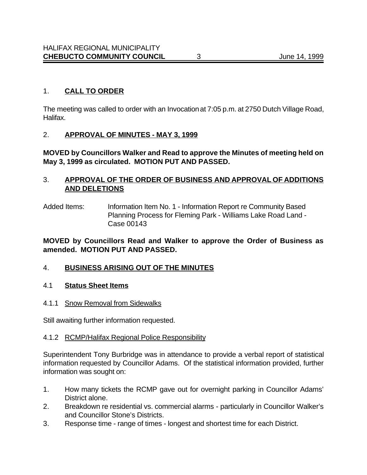### 1. **CALL TO ORDER**

The meeting was called to order with an Invocation at 7:05 p.m. at 2750 Dutch Village Road, Halifax.

#### 2. **APPROVAL OF MINUTES - MAY 3, 1999**

**MOVED by Councillors Walker and Read to approve the Minutes of meeting held on May 3, 1999 as circulated. MOTION PUT AND PASSED.**

#### 3. **APPROVAL OF THE ORDER OF BUSINESS AND APPROVAL OF ADDITIONS AND DELETIONS**

Added Items: Information Item No. 1 - Information Report re Community Based Planning Process for Fleming Park - Williams Lake Road Land - Case 00143

### **MOVED by Councillors Read and Walker to approve the Order of Business as amended. MOTION PUT AND PASSED.**

#### 4. **BUSINESS ARISING OUT OF THE MINUTES**

#### 4.1 **Status Sheet Items**

4.1.1 Snow Removal from Sidewalks

Still awaiting further information requested.

#### 4.1.2 RCMP/Halifax Regional Police Responsibility

Superintendent Tony Burbridge was in attendance to provide a verbal report of statistical information requested by Councillor Adams. Of the statistical information provided, further information was sought on:

- 1. How many tickets the RCMP gave out for overnight parking in Councillor Adams' District alone.
- 2. Breakdown re residential vs. commercial alarms particularly in Councillor Walker's and Councillor Stone's Districts.
- 3. Response time range of times longest and shortest time for each District.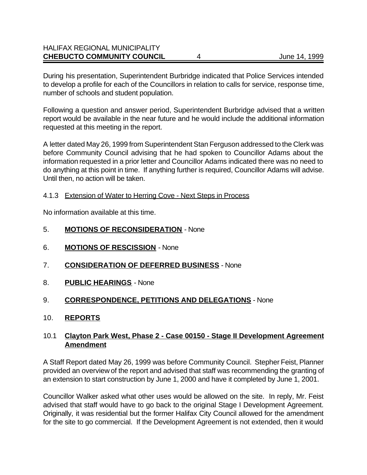### HALIFAX REGIONAL MUNICIPALITY **CHEBUCTO COMMUNITY COUNCIL** 4 June 14, 1999

During his presentation, Superintendent Burbridge indicated that Police Services intended to develop a profile for each of the Councillors in relation to calls for service, response time, number of schools and student population.

Following a question and answer period, Superintendent Burbridge advised that a written report would be available in the near future and he would include the additional information requested at this meeting in the report.

A letter dated May 26, 1999 from Superintendent Stan Ferguson addressed to the Clerk was before Community Council advising that he had spoken to Councillor Adams about the information requested in a prior letter and Councillor Adams indicated there was no need to do anything at this point in time. If anything further is required, Councillor Adams will advise. Until then, no action will be taken.

#### 4.1.3 Extension of Water to Herring Cove - Next Steps in Process

No information available at this time.

- 5. **MOTIONS OF RECONSIDERATION** None
- 6. **MOTIONS OF RESCISSION** None
- 7. **CONSIDERATION OF DEFERRED BUSINESS** None
- 8. **PUBLIC HEARINGS** None

### 9. **CORRESPONDENCE, PETITIONS AND DELEGATIONS** - None

10. **REPORTS**

### 10.1 **Clayton Park West, Phase 2 - Case 00150 - Stage II Development Agreement Amendment**

A Staff Report dated May 26, 1999 was before Community Council. Stepher Feist, Planner provided an overview of the report and advised that staff was recommending the granting of an extension to start construction by June 1, 2000 and have it completed by June 1, 2001.

Councillor Walker asked what other uses would be allowed on the site. In reply, Mr. Feist advised that staff would have to go back to the original Stage I Development Agreement. Originally, it was residential but the former Halifax City Council allowed for the amendment for the site to go commercial. If the Development Agreement is not extended, then it would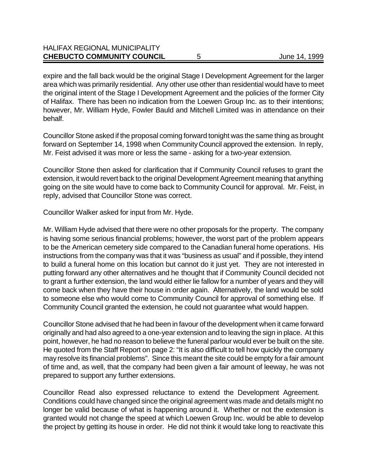expire and the fall back would be the original Stage I Development Agreement for the larger area which was primarily residential. Any other use other than residential would have to meet the original intent of the Stage I Development Agreement and the policies of the former City of Halifax. There has been no indication from the Loewen Group Inc. as to their intentions; however, Mr. William Hyde, Fowler Bauld and Mitchell Limited was in attendance on their behalf.

Councillor Stone asked if the proposal coming forward tonight was the same thing as brought forward on September 14, 1998 when Community Council approved the extension. In reply, Mr. Feist advised it was more or less the same - asking for a two-year extension.

Councillor Stone then asked for clarification that if Community Council refuses to grant the extension, it would revert back to the original Development Agreement meaning that anything going on the site would have to come back to Community Council for approval. Mr. Feist, in reply, advised that Councillor Stone was correct.

Councillor Walker asked for input from Mr. Hyde.

Mr. William Hyde advised that there were no other proposals for the property. The company is having some serious financial problems; however, the worst part of the problem appears to be the American cemetery side compared to the Canadian funeral home operations. His instructions from the company was that it was "business as usual" and if possible, they intend to build a funeral home on this location but cannot do it just yet. They are not interested in putting forward any other alternatives and he thought that if Community Council decided not to grant a further extension, the land would either lie fallow for a number of years and they will come back when they have their house in order again. Alternatively, the land would be sold to someone else who would come to Community Council for approval of something else. If Community Council granted the extension, he could not guarantee what would happen.

Councillor Stone advised that he had been in favour of the development when it came forward originally and had also agreed to a one-year extension and to leaving the sign in place. At this point, however, he had no reason to believe the funeral parlour would ever be built on the site. He quoted from the Staff Report on page 2: "It is also difficult to tell how quickly the company may resolve its financial problems". Since this meant the site could be empty for a fair amount of time and, as well, that the company had been given a fair amount of leeway, he was not prepared to support any further extensions.

Councillor Read also expressed reluctance to extend the Development Agreement. Conditions could have changed since the original agreement was made and details might no longer be valid because of what is happening around it. Whether or not the extension is granted would not change the speed at which Loewen Group Inc. would be able to develop the project by getting its house in order. He did not think it would take long to reactivate this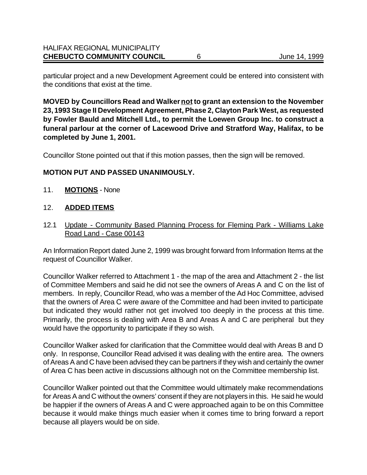particular project and a new Development Agreement could be entered into consistent with the conditions that exist at the time.

**MOVED by Councillors Read and Walker not to grant an extension to the November 23, 1993 Stage II Development Agreement, Phase 2, Clayton Park West, as requested by Fowler Bauld and Mitchell Ltd., to permit the Loewen Group Inc. to construct a funeral parlour at the corner of Lacewood Drive and Stratford Way, Halifax, to be completed by June 1, 2001.** 

Councillor Stone pointed out that if this motion passes, then the sign will be removed.

#### **MOTION PUT AND PASSED UNANIMOUSLY.**

11. **MOTIONS** - None

#### 12. **ADDED ITEMS**

12.1 Update - Community Based Planning Process for Fleming Park - Williams Lake Road Land - Case 00143

An Information Report dated June 2, 1999 was brought forward from Information Items at the request of Councillor Walker.

Councillor Walker referred to Attachment 1 - the map of the area and Attachment 2 - the list of Committee Members and said he did not see the owners of Areas A and C on the list of members. In reply, Councillor Read, who was a member of the Ad Hoc Committee, advised that the owners of Area C were aware of the Committee and had been invited to participate but indicated they would rather not get involved too deeply in the process at this time. Primarily, the process is dealing with Area B and Areas A and C are peripheral but they would have the opportunity to participate if they so wish.

Councillor Walker asked for clarification that the Committee would deal with Areas B and D only. In response, Councillor Read advised it was dealing with the entire area. The owners of Areas A and C have been advised they can be partners if they wish and certainly the owner of Area C has been active in discussions although not on the Committee membership list.

Councillor Walker pointed out that the Committee would ultimately make recommendations for Areas A and C without the owners' consent if they are not players in this. He said he would be happier if the owners of Areas A and C were approached again to be on this Committee because it would make things much easier when it comes time to bring forward a report because all players would be on side.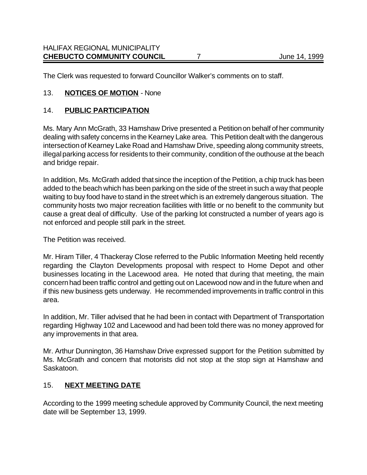The Clerk was requested to forward Councillor Walker's comments on to staff.

# 13. **NOTICES OF MOTION** - None

### 14. **PUBLIC PARTICIPATION**

Ms. Mary Ann McGrath, 33 Hamshaw Drive presented a Petition on behalf of her community dealing with safety concerns in the Kearney Lake area. This Petition dealt with the dangerous intersection of Kearney Lake Road and Hamshaw Drive, speeding along community streets, illegal parking access for residents to their community, condition of the outhouse at the beach and bridge repair.

In addition, Ms. McGrath added that since the inception of the Petition, a chip truck has been added to the beach which has been parking on the side of the street in such a way that people waiting to buy food have to stand in the street which is an extremely dangerous situation. The community hosts two major recreation facilities with little or no benefit to the community but cause a great deal of difficulty. Use of the parking lot constructed a number of years ago is not enforced and people still park in the street.

The Petition was received.

Mr. Hiram Tiller, 4 Thackeray Close referred to the Public Information Meeting held recently regarding the Clayton Developments proposal with respect to Home Depot and other businesses locating in the Lacewood area. He noted that during that meeting, the main concern had been traffic control and getting out on Lacewood now and in the future when and if this new business gets underway. He recommended improvements in traffic control in this area.

In addition, Mr. Tiller advised that he had been in contact with Department of Transportation regarding Highway 102 and Lacewood and had been told there was no money approved for any improvements in that area.

Mr. Arthur Dunnington, 36 Hamshaw Drive expressed support for the Petition submitted by Ms. McGrath and concern that motorists did not stop at the stop sign at Hamshaw and Saskatoon.

### 15. **NEXT MEETING DATE**

According to the 1999 meeting schedule approved by Community Council, the next meeting date will be September 13, 1999.